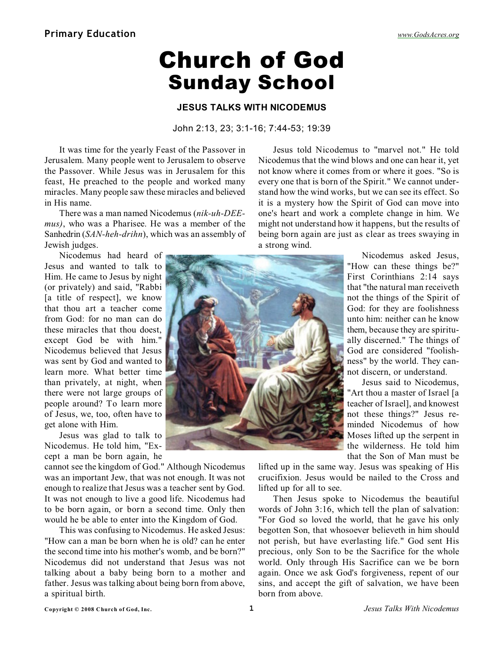# Church of God Sunday School

### **JESUS TALKS WITH NICODEMUS**

#### John 2:13, 23; 3:1-16; 7:44-53; 19:39

It was time for the yearly Feast of the Passover in Jerusalem. Many people went to Jerusalem to observe the Passover. While Jesus was in Jerusalem for this feast, He preached to the people and worked many miracles. Many people saw these miracles and believed in His name.

There was a man named Nicodemus (*nik-uh-DEEmus)*, who was a Pharisee. He was a member of the Sanhedrin (*SAN-heh-drihn*), which was an assembly of Jewish judges.

Nicodemus had heard of Jesus and wanted to talk to Him. He came to Jesus by night (or privately) and said, "Rabbi [a title of respect], we know that thou art a teacher come from God: for no man can do these miracles that thou doest, except God be with him." Nicodemus believed that Jesus was sent by God and wanted to learn more. What better time than privately, at night, when there were not large groups of people around? To learn more of Jesus, we, too, often have to get alone with Him.

Jesus was glad to talk to Nicodemus. He told him, "Except a man be born again, he

cannot see the kingdom of God." Although Nicodemus was an important Jew, that was not enough. It was not enough to realize that Jesus was a teacher sent by God. It was not enough to live a good life. Nicodemus had to be born again, or born a second time. Only then would he be able to enter into the Kingdom of God.

This was confusing to Nicodemus. He asked Jesus: "How can a man be born when he is old? can he enter the second time into his mother's womb, and be born?" Nicodemus did not understand that Jesus was not talking about a baby being born to a mother and father. Jesus was talking about being born from above, a spiritual birth.

Jesus told Nicodemus to "marvel not." He told Nicodemus that the wind blows and one can hear it, yet not know where it comes from or where it goes. "So is every one that is born of the Spirit." We cannot understand how the wind works, but we can see its effect. So it is a mystery how the Spirit of God can move into one's heart and work a complete change in him. We might not understand how it happens, but the results of being born again are just as clear as trees swaying in a strong wind.



Nicodemus asked Jesus, "How can these things be?" First Corinthians 2:14 says that "the natural man receiveth not the things of the Spirit of God: for they are foolishness unto him: neither can he know them, because they are spiritually discerned." The things of God are considered "foolishness" by the world. They cannot discern, or understand.

Jesus said to Nicodemus, "Art thou a master of Israel [a teacher of Israel], and knowest not these things?" Jesus reminded Nicodemus of how Moses lifted up the serpent in the wilderness. He told him that the Son of Man must be

lifted up in the same way. Jesus was speaking of His crucifixion. Jesus would be nailed to the Cross and lifted up for all to see.

Then Jesus spoke to Nicodemus the beautiful words of John 3:16, which tell the plan of salvation: "For God so loved the world, that he gave his only begotten Son, that whosoever believeth in him should not perish, but have everlasting life." God sent His precious, only Son to be the Sacrifice for the whole world. Only through His Sacrifice can we be born again. Once we ask God's forgiveness, repent of our sins, and accept the gift of salvation, we have been born from above.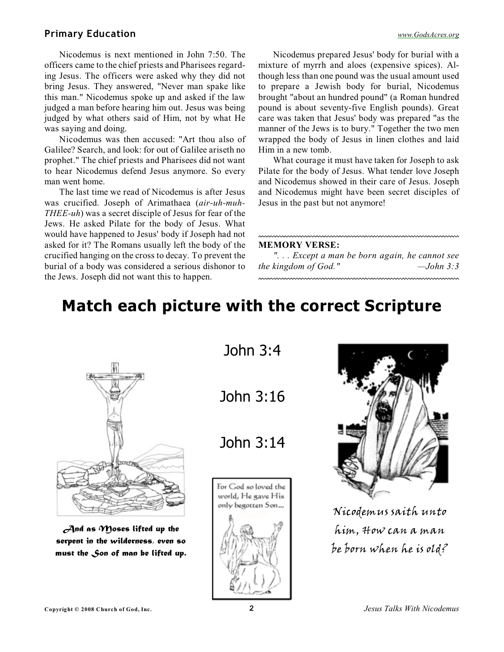## **Primary Education** *[www.GodsAcres.org](http://godsacres.org)*

Nicodemus is next mentioned in John 7:50. The officers came to the chief priests and Pharisees regarding Jesus. The officers were asked why they did not bring Jesus. They answered, "Never man spake like this man." Nicodemus spoke up and asked if the law judged a man before hearing him out. Jesus was being judged by what others said of Him, not by what He was saying and doing.

Nicodemus was then accused: "Art thou also of Galilee? Search, and look: for out of Galilee ariseth no prophet." The chief priests and Pharisees did not want to hear Nicodemus defend Jesus anymore. So every man went home.

The last time we read of Nicodemus is after Jesus was crucified. Joseph of Arimathaea (*air-uh-muh-THEE-uh*) was a secret disciple of Jesus for fear of the Jews. He asked Pilate for the body of Jesus. What would have happened to Jesus' body if Joseph had not asked for it? The Romans usually left the body of the crucified hanging on the cross to decay. To prevent the burial of a body was considered a serious dishonor to the Jews. Joseph did not want this to happen.

Nicodemus prepared Jesus' body for burial with a mixture of myrrh and aloes (expensive spices). Although less than one pound was the usual amount used to prepare a Jewish body for burial, Nicodemus brought "about an hundred pound" (a Roman hundred pound is about seventy-five English pounds). Great care was taken that Jesus' body was prepared "as the manner of the Jews is to bury." Together the two men wrapped the body of Jesus in linen clothes and laid Him in a new tomb.

What courage it must have taken for Joseph to ask Pilate for the body of Jesus. What tender love Joseph and Nicodemus showed in their care of Jesus. Joseph and Nicodemus might have been secret disciples of Jesus in the past but not anymore!

#### **MEMORY VERSE:**

*". . . Except a man be born again, he cannot see the kingdom of God." —John 3:3*

# **Match each picture with the correct Scripture**



*And as Moses lifted up the serpent in the wilderness, even so must the Son of man be lifted up.* John 3:4

John 3:16

John 3:14





Nicodemus saith unto him, How can a man be born when he is old?